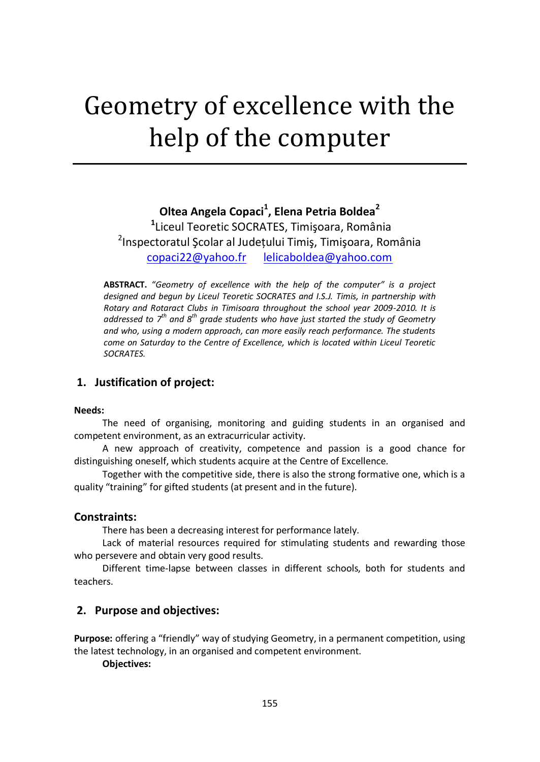# Geometry of excellence with the help of the computer

# **Oltea Angela Copaci<sup>1</sup> , Elena Petria Boldea<sup>2</sup>**

**1** Liceul Teoretic SOCRATES, Timişoara, România 2 Inspectoratul Şcolar al Judeţului Timiş, Timişoara, România [copaci22@yahoo.fr](mailto:copaci22@yahoo.fr) [lelicaboldea@yahoo.com](mailto:lelicaboldea@yahoo.com)

**ABSTRACT.** "*Geometry of excellence with the help of the computer" is a project designed and begun by Liceul Teoretic SOCRATES and I.S.J. Timis, in partnership with Rotary and Rotaract Clubs in Timisoara throughout the school year 2009-2010. It is addressed to 7th and 8th grade students who have just started the study of Geometry and who, using a modern approach, can more easily reach performance. The students come on Saturday to the Centre of Excellence, which is located within Liceul Teoretic SOCRATES.*

# **1. Justification of project:**

#### **Needs:**

The need of organising, monitoring and guiding students in an organised and competent environment, as an extracurricular activity.

A new approach of creativity, competence and passion is a good chance for distinguishing oneself, which students acquire at the Centre of Excellence.

Together with the competitive side, there is also the strong formative one, which is a quality "training" for gifted students (at present and in the future).

#### **Constraints:**

There has been a decreasing interest for performance lately.

Lack of material resources required for stimulating students and rewarding those who persevere and obtain very good results.

Different time-lapse between classes in different schools, both for students and teachers.

#### **2. Purpose and objectives:**

**Purpose:** offering a "friendly" way of studying Geometry, in a permanent competition, using the latest technology, in an organised and competent environment.

**Objectives:**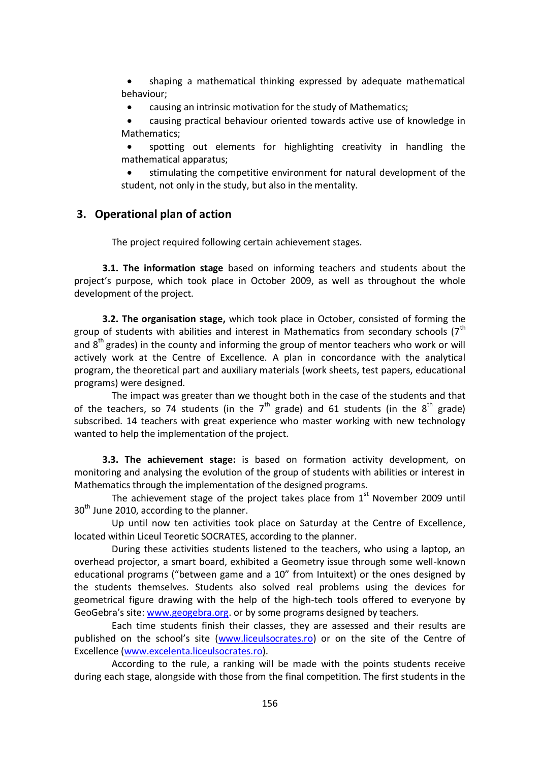shaping a mathematical thinking expressed by adequate mathematical behaviour;

causing an intrinsic motivation for the study of Mathematics;

 causing practical behaviour oriented towards active use of knowledge in Mathematics;

 spotting out elements for highlighting creativity in handling the mathematical apparatus;

 stimulating the competitive environment for natural development of the student, not only in the study, but also in the mentality.

## **3. Operational plan of action**

The project required following certain achievement stages.

**3.1. The information stage** based on informing teachers and students about the project's purpose, which took place in October 2009, as well as throughout the whole development of the project.

**3.2. The organisation stage,** which took place in October, consisted of forming the group of students with abilities and interest in Mathematics from secondary schools  $7^{th}$ and  $8<sup>th</sup>$  grades) in the county and informing the group of mentor teachers who work or will actively work at the Centre of Excellence. A plan in concordance with the analytical program, the theoretical part and auxiliary materials (work sheets, test papers, educational programs) were designed.

The impact was greater than we thought both in the case of the students and that of the teachers, so 74 students (in the  $7<sup>th</sup>$  grade) and 61 students (in the  $8<sup>th</sup>$  grade) subscribed. 14 teachers with great experience who master working with new technology wanted to help the implementation of the project.

**3.3. The achievement stage:** is based on formation activity development, on monitoring and analysing the evolution of the group of students with abilities or interest in Mathematics through the implementation of the designed programs.

The achievement stage of the project takes place from  $1<sup>st</sup>$  November 2009 until  $30<sup>th</sup>$  June 2010, according to the planner.

Up until now ten activities took place on Saturday at the Centre of Excellence, located within Liceul Teoretic SOCRATES, according to the planner.

During these activities students listened to the teachers, who using a laptop, an overhead projector, a smart board, exhibited a Geometry issue through some well-known educational programs ("between game and a 10" from Intuitext) or the ones designed by the students themselves. Students also solved real problems using the devices for geometrical figure drawing with the help of the high-tech tools offered to everyone by GeoGebra's site: [www.geogebra.org.](http://www.geogebra.org/) or by some programs designed by teachers.

Each time students finish their classes, they are assessed and their results are published on the school's site ([www.liceulsocrates.ro\)](http://www.liceulsocrates.ro/) or on the site of the Centre of Excellence [\(www.excelenta.liceulsocrates.ro\)](http://www.excelenta.liceulsocrates.ro/).

According to the rule, a ranking will be made with the points students receive during each stage, alongside with those from the final competition. The first students in the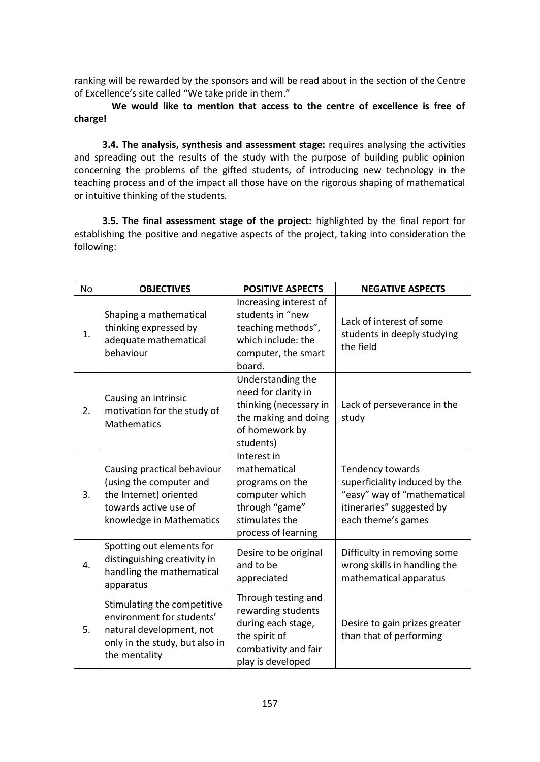ranking will be rewarded by the sponsors and will be read about in the section of the Centre of Excellence's site called "We take pride in them."

**We would like to mention that access to the centre of excellence is free of charge!**

**3.4. The analysis, synthesis and assessment stage:** requires analysing the activities and spreading out the results of the study with the purpose of building public opinion concerning the problems of the gifted students, of introducing new technology in the teaching process and of the impact all those have on the rigorous shaping of mathematical or intuitive thinking of the students.

**3.5. The final assessment stage of the project:** highlighted by the final report for establishing the positive and negative aspects of the project, taking into consideration the following:

| No | <b>OBJECTIVES</b>                                                                                                                       | <b>POSITIVE ASPECTS</b>                                                                                                       | <b>NEGATIVE ASPECTS</b>                                                                                                             |
|----|-----------------------------------------------------------------------------------------------------------------------------------------|-------------------------------------------------------------------------------------------------------------------------------|-------------------------------------------------------------------------------------------------------------------------------------|
| 1. | Shaping a mathematical<br>thinking expressed by<br>adequate mathematical<br>behaviour                                                   | Increasing interest of<br>students in "new<br>teaching methods",<br>which include: the<br>computer, the smart<br>board.       | Lack of interest of some<br>students in deeply studying<br>the field                                                                |
| 2. | Causing an intrinsic<br>motivation for the study of<br><b>Mathematics</b>                                                               | Understanding the<br>need for clarity in<br>thinking (necessary in<br>the making and doing<br>of homework by<br>students)     | Lack of perseverance in the<br>study                                                                                                |
| 3. | Causing practical behaviour<br>(using the computer and<br>the Internet) oriented<br>towards active use of<br>knowledge in Mathematics   | Interest in<br>mathematical<br>programs on the<br>computer which<br>through "game"<br>stimulates the<br>process of learning   | Tendency towards<br>superficiality induced by the<br>"easy" way of "mathematical<br>itineraries" suggested by<br>each theme's games |
| 4. | Spotting out elements for<br>distinguishing creativity in<br>handling the mathematical<br>apparatus                                     | Desire to be original<br>and to be<br>appreciated                                                                             | Difficulty in removing some<br>wrong skills in handling the<br>mathematical apparatus                                               |
| 5. | Stimulating the competitive<br>environment for students'<br>natural development, not<br>only in the study, but also in<br>the mentality | Through testing and<br>rewarding students<br>during each stage,<br>the spirit of<br>combativity and fair<br>play is developed | Desire to gain prizes greater<br>than that of performing                                                                            |